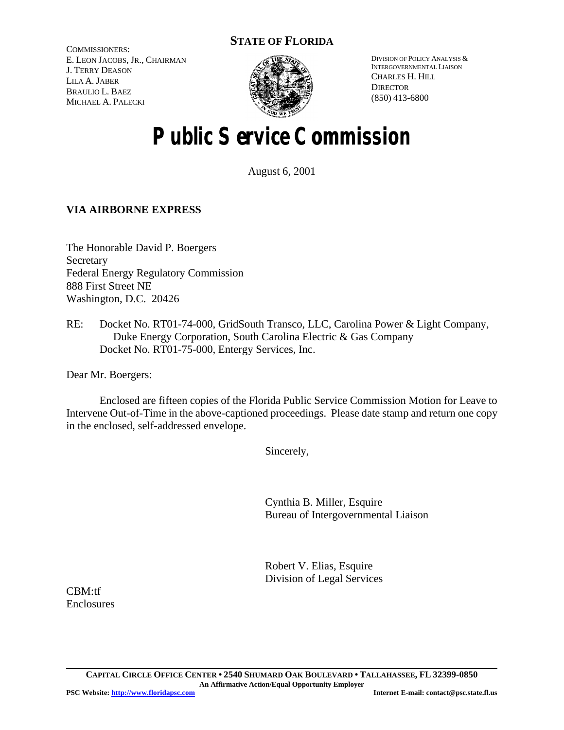# **STATE OF FLORIDA**

COMMISSIONERS: E. LEON JACOBS, JR., CHAIRMAN J. TERRY DEASON LILA A. JABER BRAULIO L. BAEZ MICHAEL A. PALECKI



DIVISION OF POLICY ANALYSIS & INTERGOVERNMENTAL LIAISON CHARLES H. HILL **DIRECTOR** (850) 413-6800

# **Public Service Commission**

August 6, 2001

## **VIA AIRBORNE EXPRESS**

The Honorable David P. Boergers **Secretary** Federal Energy Regulatory Commission 888 First Street NE Washington, D.C. 20426

RE: Docket No. RT01-74-000, GridSouth Transco, LLC, Carolina Power & Light Company, Duke Energy Corporation, South Carolina Electric & Gas Company Docket No. RT01-75-000, Entergy Services, Inc.

Dear Mr. Boergers:

Enclosed are fifteen copies of the Florida Public Service Commission Motion for Leave to Intervene Out-of-Time in the above-captioned proceedings. Please date stamp and return one copy in the enclosed, self-addressed envelope.

Sincerely,

Cynthia B. Miller, Esquire Bureau of Intergovernmental Liaison

Robert V. Elias, Esquire Division of Legal Services

CBM:tf **Enclosures**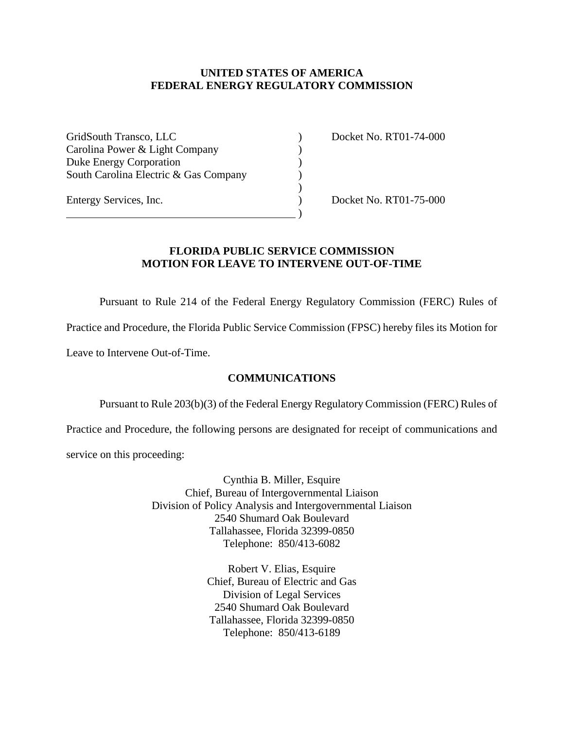### **UNITED STATES OF AMERICA FEDERAL ENERGY REGULATORY COMMISSION**

GridSouth Transco, LLC (and Contact Contact Contact Contact Contact Contact Contact Contact Contact Contact Contact Contact Contact Contact Contact Contact Contact Contact Contact Contact Contact Contact Contact Contact Co Carolina Power & Light Company (1994) Duke Energy Corporation (1) South Carolina Electric & Gas Company )

 $\overline{\phantom{a}}\phantom{a}$ 

Entergy Services, Inc. (2008) Docket No. RT01-75-000

### **FLORIDA PUBLIC SERVICE COMMISSION MOTION FOR LEAVE TO INTERVENE OUT-OF-TIME**

Pursuant to Rule 214 of the Federal Energy Regulatory Commission (FERC) Rules of

 $\begin{pmatrix} 1 \\ 2 \end{pmatrix}$ 

Practice and Procedure, the Florida Public Service Commission (FPSC) hereby files its Motion for

Leave to Intervene Out-of-Time.

#### **COMMUNICATIONS**

Pursuant to Rule 203(b)(3) of the Federal Energy Regulatory Commission (FERC) Rules of

Practice and Procedure, the following persons are designated for receipt of communications and

service on this proceeding:

Cynthia B. Miller, Esquire Chief, Bureau of Intergovernmental Liaison Division of Policy Analysis and Intergovernmental Liaison 2540 Shumard Oak Boulevard Tallahassee, Florida 32399-0850 Telephone: 850/413-6082

> Robert V. Elias, Esquire Chief, Bureau of Electric and Gas Division of Legal Services 2540 Shumard Oak Boulevard Tallahassee, Florida 32399-0850 Telephone: 850/413-6189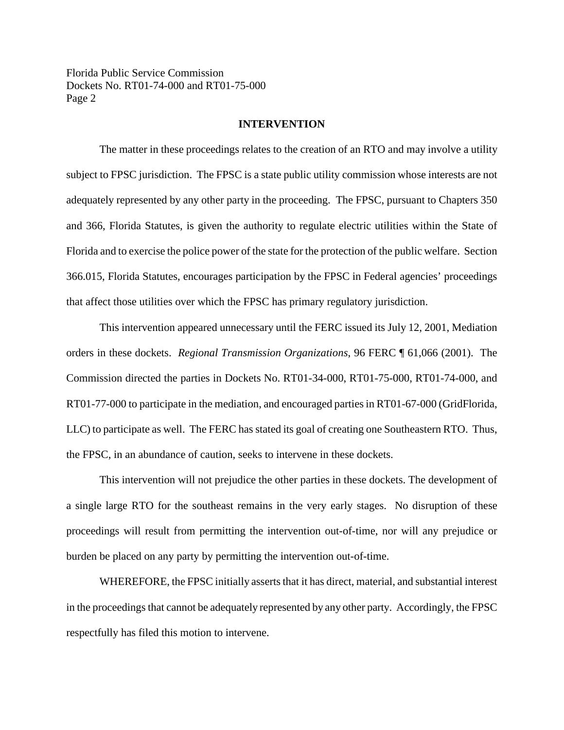Florida Public Service Commission Dockets No. RT01-74-000 and RT01-75-000 Page 2

#### **INTERVENTION**

The matter in these proceedings relates to the creation of an RTO and may involve a utility subject to FPSC jurisdiction. The FPSC is a state public utility commission whose interests are not adequately represented by any other party in the proceeding. The FPSC, pursuant to Chapters 350 and 366, Florida Statutes, is given the authority to regulate electric utilities within the State of Florida and to exercise the police power of the state for the protection of the public welfare. Section 366.015, Florida Statutes, encourages participation by the FPSC in Federal agencies' proceedings that affect those utilities over which the FPSC has primary regulatory jurisdiction.

This intervention appeared unnecessary until the FERC issued its July 12, 2001, Mediation orders in these dockets. *Regional Transmission Organizations*, 96 FERC ¶ 61,066 (2001). The Commission directed the parties in Dockets No. RT01-34-000, RT01-75-000, RT01-74-000, and RT01-77-000 to participate in the mediation, and encouraged parties in RT01-67-000 (GridFlorida, LLC) to participate as well. The FERC has stated its goal of creating one Southeastern RTO. Thus, the FPSC, in an abundance of caution, seeks to intervene in these dockets.

This intervention will not prejudice the other parties in these dockets. The development of a single large RTO for the southeast remains in the very early stages. No disruption of these proceedings will result from permitting the intervention out-of-time, nor will any prejudice or burden be placed on any party by permitting the intervention out-of-time.

WHEREFORE, the FPSC initially asserts that it has direct, material, and substantial interest in the proceedings that cannot be adequately represented by any other party. Accordingly, the FPSC respectfully has filed this motion to intervene.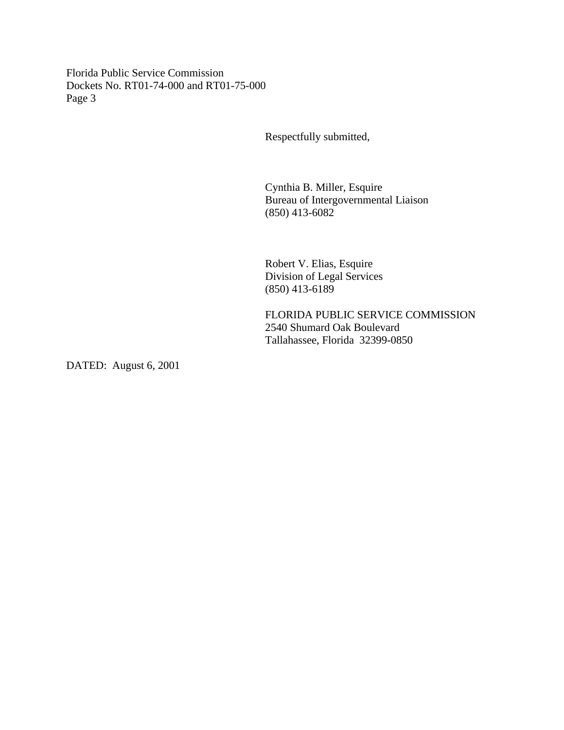Florida Public Service Commission Dockets No. RT01-74-000 and RT01-75-000 Page 3

Respectfully submitted,

Cynthia B. Miller, Esquire Bureau of Intergovernmental Liaison (850) 413-6082

Robert V. Elias, Esquire Division of Legal Services (850) 413-6189

FLORIDA PUBLIC SERVICE COMMISSION 2540 Shumard Oak Boulevard Tallahassee, Florida 32399-0850

DATED: August 6, 2001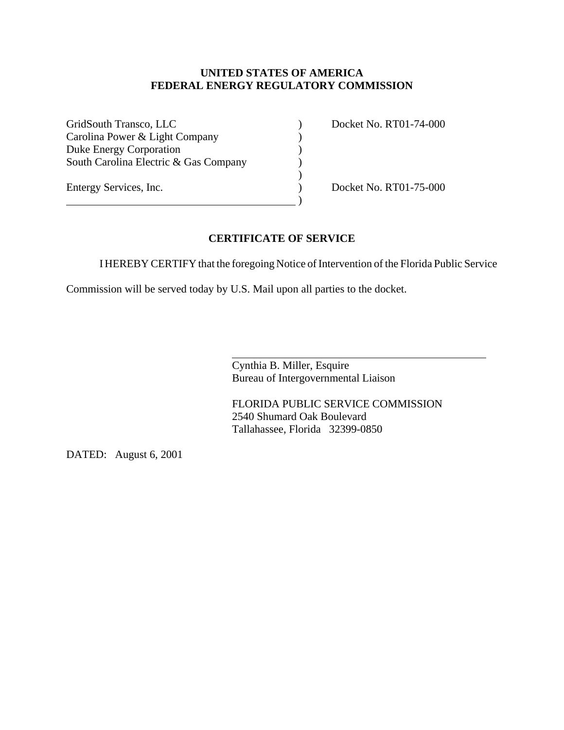### **UNITED STATES OF AMERICA FEDERAL ENERGY REGULATORY COMMISSION**

GridSouth Transco, LLC (and Contact Contact Contact Contact Contact Contact Contact Contact Contact Contact Contact Contact Contact Contact Contact Contact Contact Contact Contact Contact Contact Contact Contact Contact Co Carolina Power & Light Company (1994) Duke Energy Corporation (1) South Carolina Electric & Gas Company (1)

 $\hspace{1.5cm}$  ) and the contract of  $\hspace{1.5cm}$ 

Entergy Services, Inc. (2008) Docket No. RT01-75-000

## **CERTIFICATE OF SERVICE**

I HEREBY CERTIFY that the foregoing Notice of Intervention of the Florida Public Service

)

Commission will be served today by U.S. Mail upon all parties to the docket.

 $\overline{a}$ 

Cynthia B. Miller, Esquire Bureau of Intergovernmental Liaison

FLORIDA PUBLIC SERVICE COMMISSION 2540 Shumard Oak Boulevard Tallahassee, Florida 32399-0850

DATED: August 6, 2001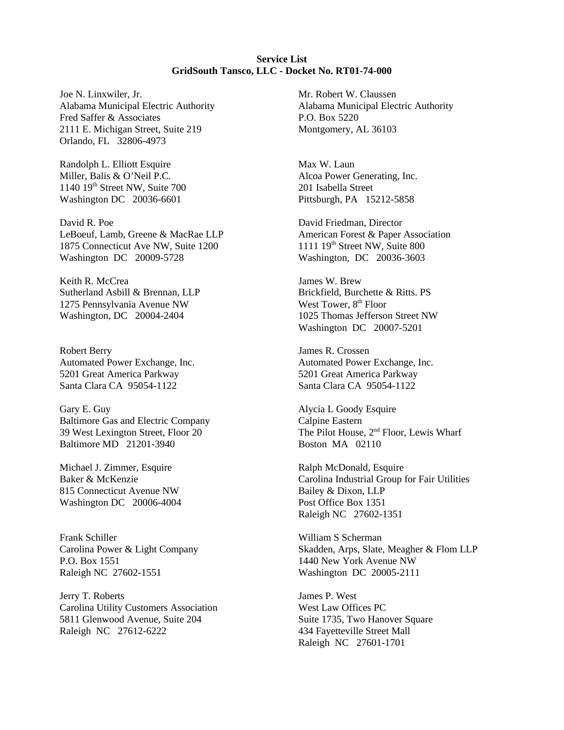**Service List GridSouth Tansco, LLC - Docket No. RT01-74-000**

Joe N. Linxwiler, Jr. Alabama Municipal Electric Authority Fred Saffer & Associates 2111 E. Michigan Street, Suite 219 Orlando, FL 32806-4973

Randolph L. Elliott Esquire Miller, Balis & O'Neil P.C. 1140 19th Street NW, Suite 700 Washington DC 20036-6601

David R. Poe LeBoeuf, Lamb, Greene & MacRae LLP 1875 Connecticut Ave NW, Suite 1200 Washington DC 20009-5728

Keith R. McCrea Sutherland Asbill & Brennan, LLP 1275 Pennsylvania Avenue NW Washington, DC 20004-2404

Robert Berry Automated Power Exchange, Inc. 5201 Great America Parkway Santa Clara CA 95054-1122

Gary E. Guy Baltimore Gas and Electric Company 39 West Lexington Street, Floor 20 Baltimore MD 21201-3940

Michael J. Zimmer, Esquire Baker & McKenzie 815 Connecticut Avenue NW Washington DC 20006-4004

Frank Schiller Carolina Power & Light Company P.O. Box 1551 Raleigh NC 27602-1551

Jerry T. Roberts Carolina Utility Customers Association 5811 Glenwood Avenue, Suite 204 Raleigh NC 27612-6222

Mr. Robert W. Claussen Alabama Municipal Electric Authority P.O. Box 5220 Montgomery, AL 36103

Max W. Laun Alcoa Power Generating, Inc. 201 Isabella Street Pittsburgh, PA 15212-5858

David Friedman, Director American Forest & Paper Association 1111 19<sup>th</sup> Street NW, Suite 800 Washington, DC 20036-3603

James W. Brew Brickfield, Burchette & Ritts. PS West Tower,  $8<sup>th</sup>$  Floor 1025 Thomas Jefferson Street NW Washington DC 20007-5201

James R. Crossen Automated Power Exchange, Inc. 5201 Great America Parkway Santa Clara CA 95054-1122

Alycia L Goody Esquire Calpine Eastern The Pilot House, 2<sup>nd</sup> Floor, Lewis Wharf Boston MA 02110

Ralph McDonald, Esquire Carolina Industrial Group for Fair Utilities Bailey & Dixon, LLP Post Office Box 1351 Raleigh NC 27602-1351

William S Scherman Skadden, Arps, Slate, Meagher & Flom LLP 1440 New York Avenue NW Washington DC 20005-2111

James P. West West Law Offices PC Suite 1735, Two Hanover Square 434 Fayetteville Street Mall Raleigh NC 27601-1701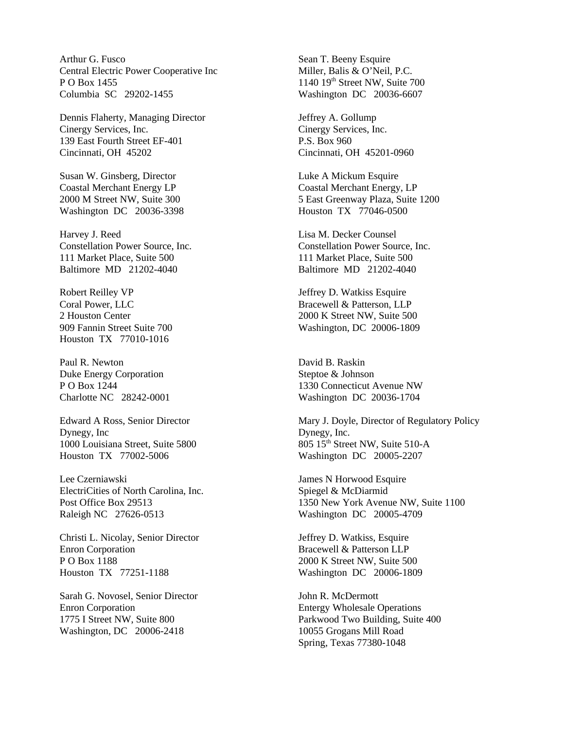Arthur G. Fusco Central Electric Power Cooperative Inc P O Box 1455 Columbia SC 29202-1455

Dennis Flaherty, Managing Director Cinergy Services, Inc. 139 East Fourth Street EF-401 Cincinnati, OH 45202

Susan W. Ginsberg, Director Coastal Merchant Energy LP 2000 M Street NW, Suite 300 Washington DC 20036-3398

Harvey J. Reed Constellation Power Source, Inc. 111 Market Place, Suite 500 Baltimore MD 21202-4040

Robert Reilley VP Coral Power, LLC 2 Houston Center 909 Fannin Street Suite 700 Houston TX 77010-1016

Paul R. Newton Duke Energy Corporation P O Box 1244 Charlotte NC 28242-0001

Edward A Ross, Senior Director Dynegy, Inc 1000 Louisiana Street, Suite 5800 Houston TX 77002-5006

Lee Czerniawski ElectriCities of North Carolina, Inc. Post Office Box 29513 Raleigh NC 27626-0513

Christi L. Nicolay, Senior Director Enron Corporation P O Box 1188 Houston TX 77251-1188

Sarah G. Novosel, Senior Director Enron Corporation 1775 I Street NW, Suite 800 Washington, DC 20006-2418

Sean T. Beeny Esquire Miller, Balis & O'Neil, P.C.  $1140$   $19<sup>th</sup>$  Street NW, Suite 700 Washington DC 20036-6607

Jeffrey A. Gollump Cinergy Services, Inc. P.S. Box 960 Cincinnati, OH 45201-0960

Luke A Mickum Esquire Coastal Merchant Energy, LP 5 East Greenway Plaza, Suite 1200 Houston TX 77046-0500

Lisa M. Decker Counsel Constellation Power Source, Inc. 111 Market Place, Suite 500 Baltimore MD 21202-4040

Jeffrey D. Watkiss Esquire Bracewell & Patterson, LLP 2000 K Street NW, Suite 500 Washington, DC 20006-1809

David B. Raskin Steptoe & Johnson 1330 Connecticut Avenue NW Washington DC 20036-1704

Mary J. Doyle, Director of Regulatory Policy Dynegy, Inc. 805 15<sup>th</sup> Street NW, Suite 510-A Washington DC 20005-2207

James N Horwood Esquire Spiegel & McDiarmid 1350 New York Avenue NW, Suite 1100 Washington DC 20005-4709

Jeffrey D. Watkiss, Esquire Bracewell & Patterson LLP 2000 K Street NW, Suite 500 Washington DC 20006-1809

John R. McDermott Entergy Wholesale Operations Parkwood Two Building, Suite 400 10055 Grogans Mill Road Spring, Texas 77380-1048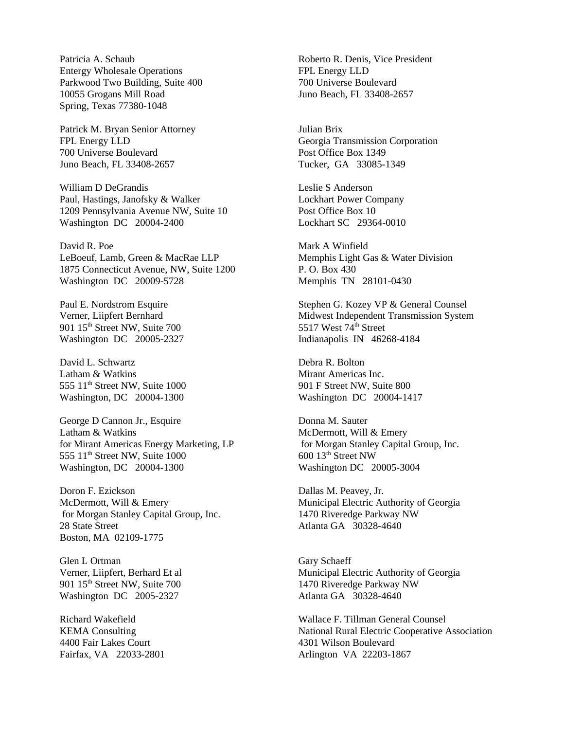Patricia A. Schaub Entergy Wholesale Operations Parkwood Two Building, Suite 400 10055 Grogans Mill Road Spring, Texas 77380-1048

Patrick M. Bryan Senior Attorney FPL Energy LLD 700 Universe Boulevard Juno Beach, FL 33408-2657

William D DeGrandis Paul, Hastings, Janofsky & Walker 1209 Pennsylvania Avenue NW, Suite 10 Washington DC 20004-2400

David R. Poe LeBoeuf, Lamb, Green & MacRae LLP 1875 Connecticut Avenue, NW, Suite 1200 Washington DC 20009-5728

Paul E. Nordstrom Esquire Verner, Liipfert Bernhard 901 15<sup>th</sup> Street NW, Suite 700 Washington DC 20005-2327

David L. Schwartz Latham & Watkins 555 11<sup>th</sup> Street NW, Suite 1000 Washington, DC 20004-1300

George D Cannon Jr., Esquire Latham & Watkins for Mirant Americas Energy Marketing, LP 555 11<sup>th</sup> Street NW, Suite 1000 Washington, DC 20004-1300

Doron F. Ezickson McDermott, Will & Emery for Morgan Stanley Capital Group, Inc. 28 State Street Boston, MA 02109-1775

Glen L Ortman Verner, Liipfert, Berhard Et al 901 15<sup>th</sup> Street NW, Suite 700 Washington DC 2005-2327

Richard Wakefield KEMA Consulting 4400 Fair Lakes Court Fairfax, VA 22033-2801

Roberto R. Denis, Vice President FPL Energy LLD 700 Universe Boulevard Juno Beach, FL 33408-2657

Julian Brix Georgia Transmission Corporation Post Office Box 1349 Tucker, GA 33085-1349

Leslie S Anderson Lockhart Power Company Post Office Box 10 Lockhart SC 29364-0010

Mark A Winfield Memphis Light Gas & Water Division P. O. Box 430 Memphis TN 28101-0430

Stephen G. Kozey VP & General Counsel Midwest Independent Transmission System 5517 West 74<sup>th</sup> Street Indianapolis IN 46268-4184

Debra R. Bolton Mirant Americas Inc. 901 F Street NW, Suite 800 Washington DC 20004-1417

Donna M. Sauter McDermott, Will & Emery for Morgan Stanley Capital Group, Inc. 600 13th Street NW Washington DC 20005-3004

Dallas M. Peavey, Jr. Municipal Electric Authority of Georgia 1470 Riveredge Parkway NW Atlanta GA 30328-4640

Gary Schaeff Municipal Electric Authority of Georgia 1470 Riveredge Parkway NW Atlanta GA 30328-4640

Wallace F. Tillman General Counsel National Rural Electric Cooperative Association 4301 Wilson Boulevard Arlington VA 22203-1867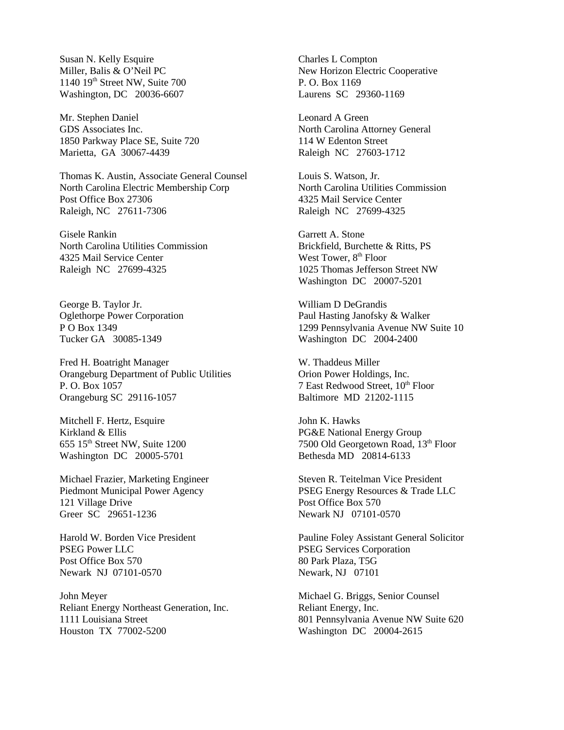Susan N. Kelly Esquire Miller, Balis & O'Neil PC  $1140$   $19<sup>th</sup>$  Street NW, Suite 700 Washington, DC 20036-6607

Mr. Stephen Daniel GDS Associates Inc. 1850 Parkway Place SE, Suite 720 Marietta, GA 30067-4439

Thomas K. Austin, Associate General Counsel North Carolina Electric Membership Corp Post Office Box 27306 Raleigh, NC 27611-7306

Gisele Rankin North Carolina Utilities Commission 4325 Mail Service Center Raleigh NC 27699-4325

George B. Taylor Jr. Oglethorpe Power Corporation P O Box 1349 Tucker GA 30085-1349

Fred H. Boatright Manager Orangeburg Department of Public Utilities P. O. Box 1057 Orangeburg SC 29116-1057

Mitchell F. Hertz, Esquire Kirkland & Ellis  $655$   $15<sup>th</sup>$  Street NW, Suite  $1200$ Washington DC 20005-5701

Michael Frazier, Marketing Engineer Piedmont Municipal Power Agency 121 Village Drive Greer SC 29651-1236

Harold W. Borden Vice President PSEG Power LLC Post Office Box 570 Newark NJ 07101-0570

John Meyer Reliant Energy Northeast Generation, Inc. 1111 Louisiana Street Houston TX 77002-5200

Charles L Compton New Horizon Electric Cooperative P. O. Box 1169 Laurens SC 29360-1169

Leonard A Green North Carolina Attorney General 114 W Edenton Street Raleigh NC 27603-1712

Louis S. Watson, Jr. North Carolina Utilities Commission 4325 Mail Service Center Raleigh NC 27699-4325

Garrett A. Stone Brickfield, Burchette & Ritts, PS West Tower, 8<sup>th</sup> Floor 1025 Thomas Jefferson Street NW Washington DC 20007-5201

William D DeGrandis Paul Hasting Janofsky & Walker 1299 Pennsylvania Avenue NW Suite 10 Washington DC 2004-2400

W. Thaddeus Miller Orion Power Holdings, Inc. 7 East Redwood Street, 10<sup>th</sup> Floor Baltimore MD 21202-1115

John K. Hawks PG&E National Energy Group 7500 Old Georgetown Road, 13<sup>th</sup> Floor Bethesda MD 20814-6133

Steven R. Teitelman Vice President PSEG Energy Resources & Trade LLC Post Office Box 570 Newark NJ 07101-0570

Pauline Foley Assistant General Solicitor PSEG Services Corporation 80 Park Plaza, T5G Newark, NJ 07101

Michael G. Briggs, Senior Counsel Reliant Energy, Inc. 801 Pennsylvania Avenue NW Suite 620 Washington DC 20004-2615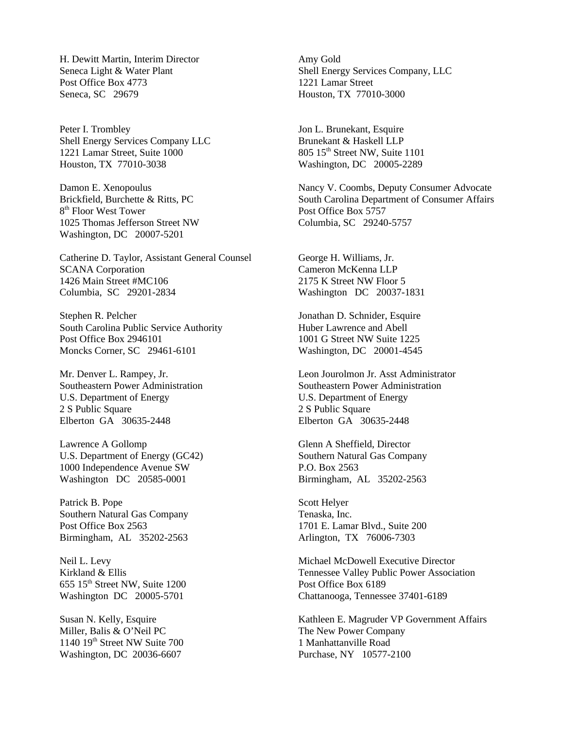H. Dewitt Martin, Interim Director Seneca Light & Water Plant Post Office Box 4773 Seneca, SC 29679

Peter I. Trombley Shell Energy Services Company LLC 1221 Lamar Street, Suite 1000 Houston, TX 77010-3038

Damon E. Xenopoulus Brickfield, Burchette & Ritts, PC 8<sup>th</sup> Floor West Tower 1025 Thomas Jefferson Street NW Washington, DC 20007-5201

Catherine D. Taylor, Assistant General Counsel SCANA Corporation 1426 Main Street #MC106 Columbia, SC 29201-2834

Stephen R. Pelcher South Carolina Public Service Authority Post Office Box 2946101 Moncks Corner, SC 29461-6101

Mr. Denver L. Rampey, Jr. Southeastern Power Administration U.S. Department of Energy 2 S Public Square Elberton GA 30635-2448

Lawrence A Gollomp U.S. Department of Energy (GC42) 1000 Independence Avenue SW Washington DC 20585-0001

Patrick B. Pope Southern Natural Gas Company Post Office Box 2563 Birmingham, AL 35202-2563

Neil L. Levy Kirkland & Ellis  $655$   $15<sup>th</sup>$  Street NW, Suite 1200 Washington DC 20005-5701

Susan N. Kelly, Esquire Miller, Balis & O'Neil PC  $1140$   $19<sup>th</sup>$  Street NW Suite 700 Washington, DC 20036-6607

Amy Gold Shell Energy Services Company, LLC 1221 Lamar Street Houston, TX 77010-3000

Jon L. Brunekant, Esquire Brunekant & Haskell LLP 805 15<sup>th</sup> Street NW, Suite 1101 Washington, DC 20005-2289

Nancy V. Coombs, Deputy Consumer Advocate South Carolina Department of Consumer Affairs Post Office Box 5757 Columbia, SC 29240-5757

George H. Williams, Jr. Cameron McKenna LLP 2175 K Street NW Floor 5 Washington DC 20037-1831

Jonathan D. Schnider, Esquire Huber Lawrence and Abell 1001 G Street NW Suite 1225 Washington, DC 20001-4545

Leon Jourolmon Jr. Asst Administrator Southeastern Power Administration U.S. Department of Energy 2 S Public Square Elberton GA 30635-2448

Glenn A Sheffield, Director Southern Natural Gas Company P.O. Box 2563 Birmingham, AL 35202-2563

Scott Helyer Tenaska, Inc. 1701 E. Lamar Blvd., Suite 200 Arlington, TX 76006-7303

Michael McDowell Executive Director Tennessee Valley Public Power Association Post Office Box 6189 Chattanooga, Tennessee 37401-6189

Kathleen E. Magruder VP Government Affairs The New Power Company 1 Manhattanville Road Purchase, NY 10577-2100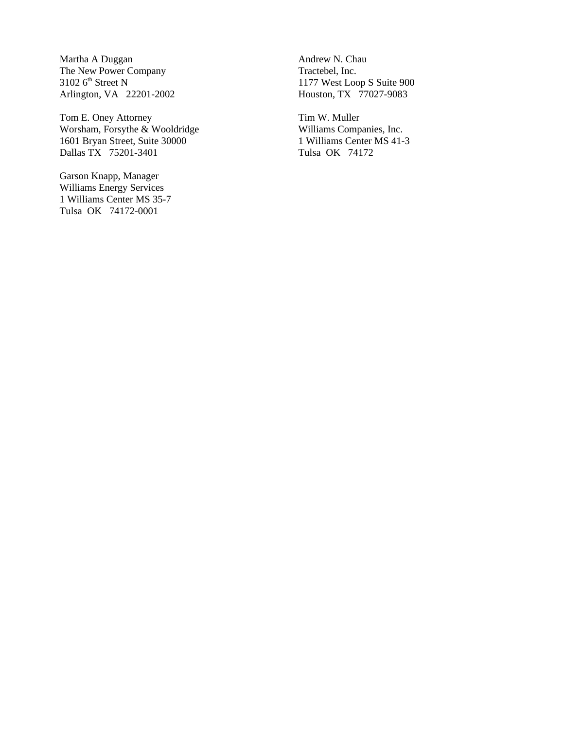Martha A Duggan The New Power Company  $3102$  6<sup>th</sup> Street N Arlington, VA 22201-2002

Tom E. Oney Attorney Worsham, Forsythe & Wooldridge 1601 Bryan Street, Suite 30000 Dallas TX 75201-3401

Garson Knapp, Manager Williams Energy Services 1 Williams Center MS 35-7 Tulsa OK 74172-0001

Andrew N. Chau Tractebel, Inc. 1177 West Loop S Suite 900 Houston, TX 77027-9083

Tim W. Muller Williams Companies, Inc. 1 Williams Center MS 41-3 Tulsa OK 74172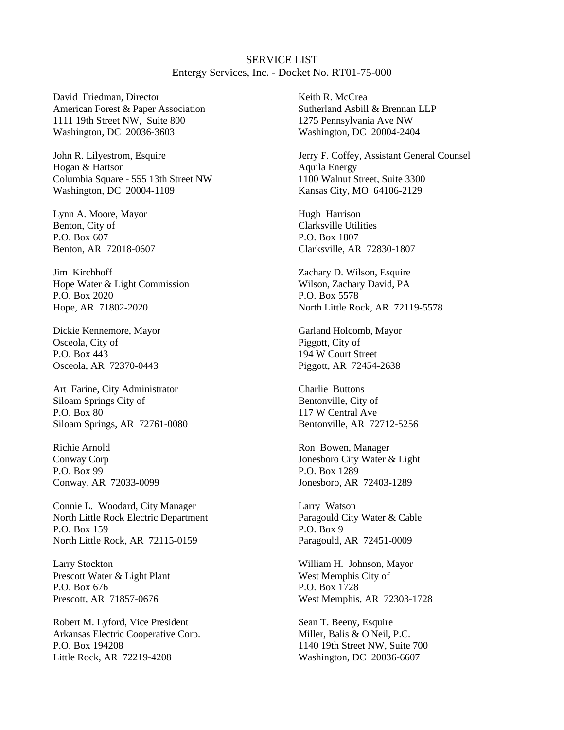SERVICE LIST Entergy Services, Inc. - Docket No. RT01-75-000

David Friedman, Director American Forest & Paper Association 1111 19th Street NW, Suite 800 Washington, DC 20036-3603

John R. Lilyestrom, Esquire Hogan & Hartson Columbia Square - 555 13th Street NW Washington, DC 20004-1109

Lynn A. Moore, Mayor Benton, City of P.O. Box 607 Benton, AR 72018-0607

Jim Kirchhoff Hope Water & Light Commission P.O. Box 2020 Hope, AR 71802-2020

Dickie Kennemore, Mayor Osceola, City of P.O. Box 443 Osceola, AR 72370-0443

Art Farine, City Administrator Siloam Springs City of P.O. Box 80 Siloam Springs, AR 72761-0080

Richie Arnold Conway Corp P.O. Box 99 Conway, AR 72033-0099

Connie L. Woodard, City Manager North Little Rock Electric Department P.O. Box 159 North Little Rock, AR 72115-0159

Larry Stockton Prescott Water & Light Plant P.O. Box 676 Prescott, AR 71857-0676

Robert M. Lyford, Vice President Arkansas Electric Cooperative Corp. P.O. Box 194208 Little Rock, AR 72219-4208

Keith R. McCrea Sutherland Asbill & Brennan LLP 1275 Pennsylvania Ave NW Washington, DC 20004-2404

Jerry F. Coffey, Assistant General Counsel Aquila Energy 1100 Walnut Street, Suite 3300 Kansas City, MO 64106-2129

Hugh Harrison Clarksville Utilities P.O. Box 1807 Clarksville, AR 72830-1807

Zachary D. Wilson, Esquire Wilson, Zachary David, PA P.O. Box 5578 North Little Rock, AR 72119-5578

Garland Holcomb, Mayor Piggott, City of 194 W Court Street Piggott, AR 72454-2638

Charlie Buttons Bentonville, City of 117 W Central Ave Bentonville, AR 72712-5256

Ron Bowen, Manager Jonesboro City Water & Light P.O. Box 1289 Jonesboro, AR 72403-1289

Larry Watson Paragould City Water & Cable P.O. Box 9 Paragould, AR 72451-0009

William H. Johnson, Mayor West Memphis City of P.O. Box 1728 West Memphis, AR 72303-1728

Sean T. Beeny, Esquire Miller, Balis & O'Neil, P.C. 1140 19th Street NW, Suite 700 Washington, DC 20036-6607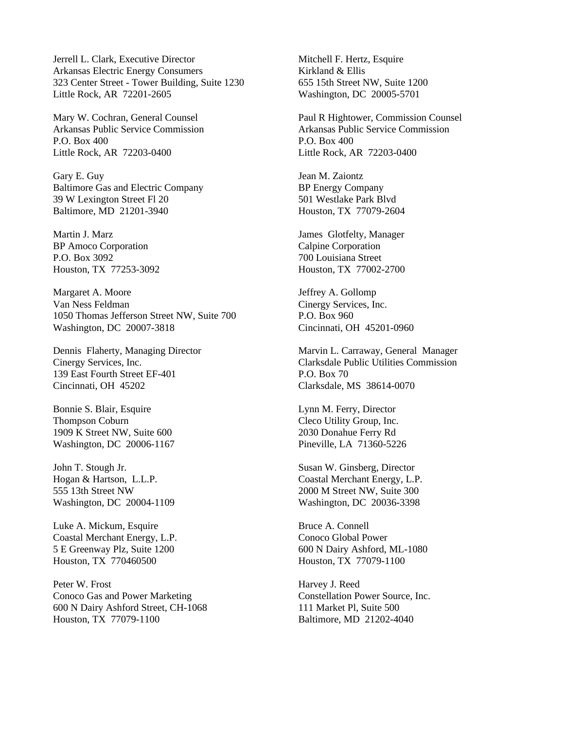Jerrell L. Clark, Executive Director Arkansas Electric Energy Consumers 323 Center Street - Tower Building, Suite 1230 Little Rock, AR 72201-2605

Mary W. Cochran, General Counsel Arkansas Public Service Commission P.O. Box 400 Little Rock, AR 72203-0400

Gary E. Guy Baltimore Gas and Electric Company 39 W Lexington Street Fl 20 Baltimore, MD 21201-3940

Martin J. Marz BP Amoco Corporation P.O. Box 3092 Houston, TX 77253-3092

Margaret A. Moore Van Ness Feldman 1050 Thomas Jefferson Street NW, Suite 700 Washington, DC 20007-3818

Dennis Flaherty, Managing Director Cinergy Services, Inc. 139 East Fourth Street EF-401 Cincinnati, OH 45202

Bonnie S. Blair, Esquire Thompson Coburn 1909 K Street NW, Suite 600 Washington, DC 20006-1167

John T. Stough Jr. Hogan & Hartson, L.L.P. 555 13th Street NW Washington, DC 20004-1109

Luke A. Mickum, Esquire Coastal Merchant Energy, L.P. 5 E Greenway Plz, Suite 1200 Houston, TX 770460500

Peter W. Frost Conoco Gas and Power Marketing 600 N Dairy Ashford Street, CH-1068 Houston, TX 77079-1100

Mitchell F. Hertz, Esquire Kirkland & Ellis 655 15th Street NW, Suite 1200 Washington, DC 20005-5701

Paul R Hightower, Commission Counsel Arkansas Public Service Commission P.O. Box 400 Little Rock, AR 72203-0400

Jean M. Zaiontz BP Energy Company 501 Westlake Park Blvd Houston, TX 77079-2604

James Glotfelty, Manager Calpine Corporation 700 Louisiana Street Houston, TX 77002-2700

Jeffrey A. Gollomp Cinergy Services, Inc. P.O. Box 960 Cincinnati, OH 45201-0960

Marvin L. Carraway, General Manager Clarksdale Public Utilities Commission P.O. Box 70 Clarksdale, MS 38614-0070

Lynn M. Ferry, Director Cleco Utility Group, Inc. 2030 Donahue Ferry Rd Pineville, LA 71360-5226

Susan W. Ginsberg, Director Coastal Merchant Energy, L.P. 2000 M Street NW, Suite 300 Washington, DC 20036-3398

Bruce A. Connell Conoco Global Power 600 N Dairy Ashford, ML-1080 Houston, TX 77079-1100

Harvey J. Reed Constellation Power Source, Inc. 111 Market Pl, Suite 500 Baltimore, MD 21202-4040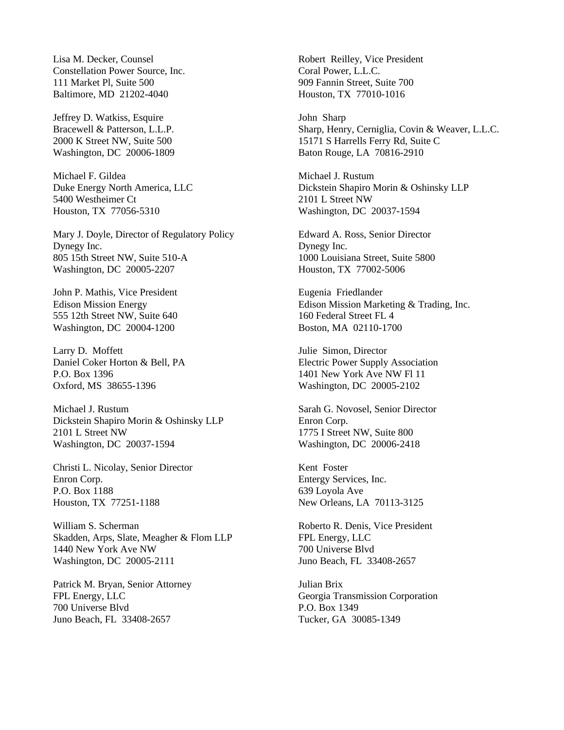Lisa M. Decker, Counsel Constellation Power Source, Inc. 111 Market Pl, Suite 500 Baltimore, MD 21202-4040

Jeffrey D. Watkiss, Esquire Bracewell & Patterson, L.L.P. 2000 K Street NW, Suite 500 Washington, DC 20006-1809

Michael F. Gildea Duke Energy North America, LLC 5400 Westheimer Ct Houston, TX 77056-5310

Mary J. Doyle, Director of Regulatory Policy Dynegy Inc. 805 15th Street NW, Suite 510-A Washington, DC 20005-2207

John P. Mathis, Vice President Edison Mission Energy 555 12th Street NW, Suite 640 Washington, DC 20004-1200

Larry D. Moffett Daniel Coker Horton & Bell, PA P.O. Box 1396 Oxford, MS 38655-1396

Michael J. Rustum Dickstein Shapiro Morin & Oshinsky LLP 2101 L Street NW Washington, DC 20037-1594

Christi L. Nicolay, Senior Director Enron Corp. P.O. Box 1188 Houston, TX 77251-1188

William S. Scherman Skadden, Arps, Slate, Meagher & Flom LLP 1440 New York Ave NW Washington, DC 20005-2111

Patrick M. Bryan, Senior Attorney FPL Energy, LLC 700 Universe Blvd Juno Beach, FL 33408-2657

Robert Reilley, Vice President Coral Power, L.L.C. 909 Fannin Street, Suite 700 Houston, TX 77010-1016

John Sharp Sharp, Henry, Cerniglia, Covin & Weaver, L.L.C. 15171 S Harrells Ferry Rd, Suite C Baton Rouge, LA 70816-2910

Michael J. Rustum Dickstein Shapiro Morin & Oshinsky LLP 2101 L Street NW Washington, DC 20037-1594

Edward A. Ross, Senior Director Dynegy Inc. 1000 Louisiana Street, Suite 5800 Houston, TX 77002-5006

Eugenia Friedlander Edison Mission Marketing & Trading, Inc. 160 Federal Street FL 4 Boston, MA 02110-1700

Julie Simon, Director Electric Power Supply Association 1401 New York Ave NW Fl 11 Washington, DC 20005-2102

Sarah G. Novosel, Senior Director Enron Corp. 1775 I Street NW, Suite 800 Washington, DC 20006-2418

Kent Foster Entergy Services, Inc. 639 Loyola Ave New Orleans, LA 70113-3125

Roberto R. Denis, Vice President FPL Energy, LLC 700 Universe Blvd Juno Beach, FL 33408-2657

Julian Brix Georgia Transmission Corporation P.O. Box 1349 Tucker, GA 30085-1349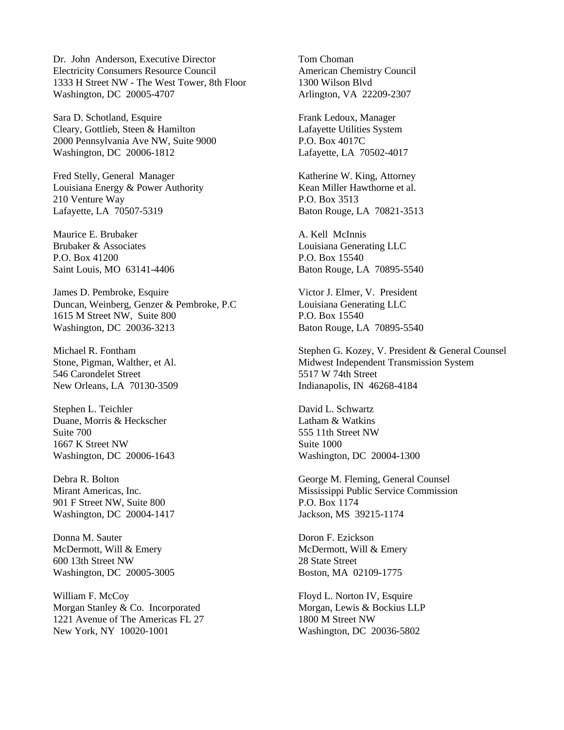Dr. John Anderson, Executive Director Electricity Consumers Resource Council 1333 H Street NW - The West Tower, 8th Floor Washington, DC 20005-4707

Sara D. Schotland, Esquire Cleary, Gottlieb, Steen & Hamilton 2000 Pennsylvania Ave NW, Suite 9000 Washington, DC 20006-1812

Fred Stelly, General Manager Louisiana Energy & Power Authority 210 Venture Way Lafayette, LA 70507-5319

Maurice E. Brubaker Brubaker & Associates P.O. Box 41200 Saint Louis, MO 63141-4406

James D. Pembroke, Esquire Duncan, Weinberg, Genzer & Pembroke, P.C 1615 M Street NW, Suite 800 Washington, DC 20036-3213

Michael R. Fontham Stone, Pigman, Walther, et Al. 546 Carondelet Street New Orleans, LA 70130-3509

Stephen L. Teichler Duane, Morris & Heckscher Suite 700 1667 K Street NW Washington, DC 20006-1643

Debra R. Bolton Mirant Americas, Inc. 901 F Street NW, Suite 800 Washington, DC 20004-1417

Donna M. Sauter McDermott, Will & Emery 600 13th Street NW Washington, DC 20005-3005

William F. McCoy Morgan Stanley & Co. Incorporated 1221 Avenue of The Americas FL 27 New York, NY 10020-1001

Tom Choman American Chemistry Council 1300 Wilson Blvd Arlington, VA 22209-2307

Frank Ledoux, Manager Lafayette Utilities System P.O. Box 4017C Lafayette, LA 70502-4017

Katherine W. King, Attorney Kean Miller Hawthorne et al. P.O. Box 3513 Baton Rouge, LA 70821-3513

A. Kell McInnis Louisiana Generating LLC P.O. Box 15540 Baton Rouge, LA 70895-5540

Victor J. Elmer, V. President Louisiana Generating LLC P.O. Box 15540 Baton Rouge, LA 70895-5540

Stephen G. Kozey, V. President & General Counsel Midwest Independent Transmission System 5517 W 74th Street Indianapolis, IN 46268-4184

David L. Schwartz Latham & Watkins 555 11th Street NW Suite 1000 Washington, DC 20004-1300

George M. Fleming, General Counsel Mississippi Public Service Commission P.O. Box 1174 Jackson, MS 39215-1174

Doron F. Ezickson McDermott, Will & Emery 28 State Street Boston, MA 02109-1775

Floyd L. Norton IV, Esquire Morgan, Lewis & Bockius LLP 1800 M Street NW Washington, DC 20036-5802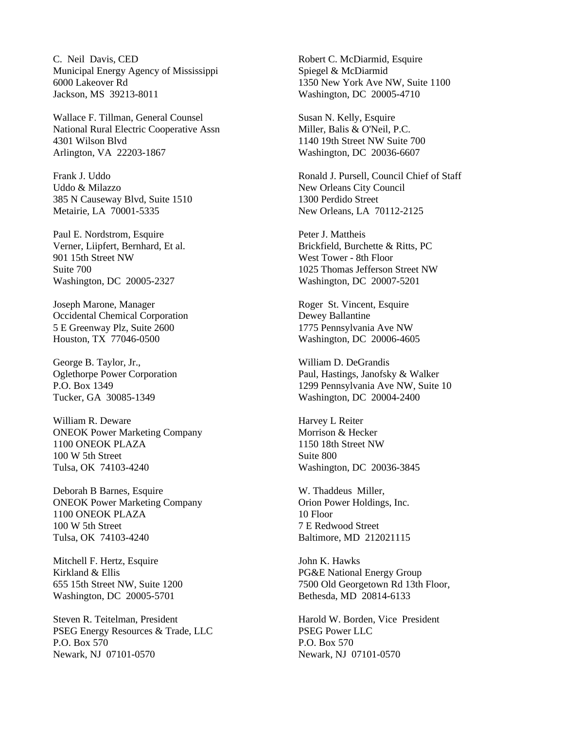C. Neil Davis, CED Municipal Energy Agency of Mississippi 6000 Lakeover Rd Jackson, MS 39213-8011

Wallace F. Tillman, General Counsel National Rural Electric Cooperative Assn 4301 Wilson Blvd Arlington, VA 22203-1867

Frank J. Uddo Uddo & Milazzo 385 N Causeway Blvd, Suite 1510 Metairie, LA 70001-5335

Paul E. Nordstrom, Esquire Verner, Liipfert, Bernhard, Et al. 901 15th Street NW Suite 700 Washington, DC 20005-2327

Joseph Marone, Manager Occidental Chemical Corporation 5 E Greenway Plz, Suite 2600 Houston, TX 77046-0500

George B. Taylor, Jr., Oglethorpe Power Corporation P.O. Box 1349 Tucker, GA 30085-1349

William R. Deware ONEOK Power Marketing Company 1100 ONEOK PLAZA 100 W 5th Street Tulsa, OK 74103-4240

Deborah B Barnes, Esquire ONEOK Power Marketing Company 1100 ONEOK PLAZA 100 W 5th Street Tulsa, OK 74103-4240

Mitchell F. Hertz, Esquire Kirkland & Ellis 655 15th Street NW, Suite 1200 Washington, DC 20005-5701

Steven R. Teitelman, President PSEG Energy Resources & Trade, LLC P.O. Box 570 Newark, NJ 07101-0570

Robert C. McDiarmid, Esquire Spiegel & McDiarmid 1350 New York Ave NW, Suite 1100 Washington, DC 20005-4710

Susan N. Kelly, Esquire Miller, Balis & O'Neil, P.C. 1140 19th Street NW Suite 700 Washington, DC 20036-6607

Ronald J. Pursell, Council Chief of Staff New Orleans City Council 1300 Perdido Street New Orleans, LA 70112-2125

Peter J. Mattheis Brickfield, Burchette & Ritts, PC West Tower - 8th Floor 1025 Thomas Jefferson Street NW Washington, DC 20007-5201

Roger St. Vincent, Esquire Dewey Ballantine 1775 Pennsylvania Ave NW Washington, DC 20006-4605

William D. DeGrandis Paul, Hastings, Janofsky & Walker 1299 Pennsylvania Ave NW, Suite 10 Washington, DC 20004-2400

Harvey L Reiter Morrison & Hecker 1150 18th Street NW Suite 800 Washington, DC 20036-3845

W. Thaddeus Miller, Orion Power Holdings, Inc. 10 Floor 7 E Redwood Street Baltimore, MD 212021115

John K. Hawks PG&E National Energy Group 7500 Old Georgetown Rd 13th Floor, Bethesda, MD 20814-6133

Harold W. Borden, Vice President PSEG Power LLC P.O. Box 570 Newark, NJ 07101-0570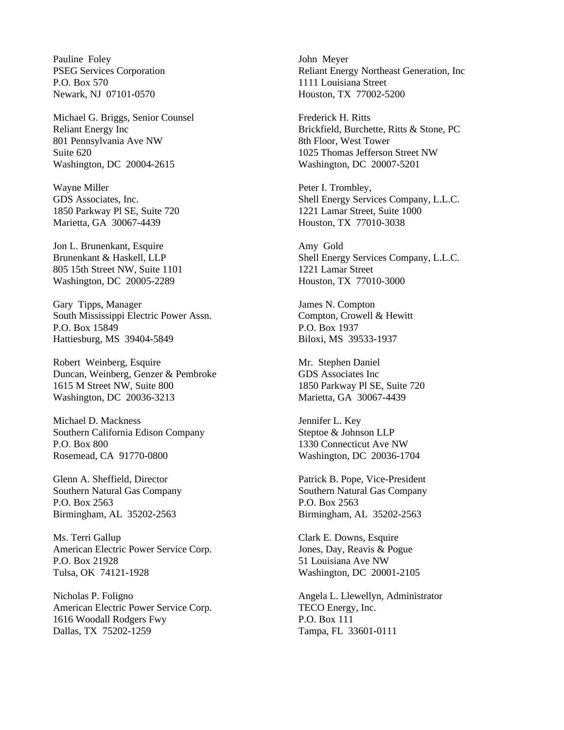Pauline Foley PSEG Services Corporation P.O. Box 570 Newark, NJ 07101-0570

Michael G. Briggs, Senior Counsel Reliant Energy Inc 801 Pennsylvania Ave NW Suite 620 Washington, DC 20004-2615

Wayne Miller GDS Associates, Inc. 1850 Parkway Pl SE, Suite 720 Marietta, GA 30067-4439

Jon L. Brunenkant, Esquire Brunenkant & Haskell, LLP 805 15th Street NW, Suite 1101 Washington, DC 20005-2289

Gary Tipps, Manager South Mississippi Electric Power Assn. P.O. Box 15849 Hattiesburg, MS 39404-5849

Robert Weinberg, Esquire Duncan, Weinberg, Genzer & Pembroke 1615 M Street NW, Suite 800 Washington, DC 20036-3213

Michael D. Mackness Southern California Edison Company P.O. Box 800 Rosemead, CA 91770-0800

Glenn A. Sheffield, Director Southern Natural Gas Company P.O. Box 2563 Birmingham, AL 35202-2563

Ms. Terri Gallup American Electric Power Service Corp. P.O. Box 21928 Tulsa, OK 74121-1928

Nicholas P. Foligno American Electric Power Service Corp. 1616 Woodall Rodgers Fwy Dallas, TX 75202-1259

John Meyer Reliant Energy Northeast Generation, Inc 1111 Louisiana Street Houston, TX 77002-5200

Frederick H. Ritts Brickfield, Burchette, Ritts & Stone, PC 8th Floor, West Tower 1025 Thomas Jefferson Street NW Washington, DC 20007-5201

Peter I. Trombley, Shell Energy Services Company, L.L.C. 1221 Lamar Street, Suite 1000 Houston, TX 77010-3038

Amy Gold Shell Energy Services Company, L.L.C. 1221 Lamar Street Houston, TX 77010-3000

James N. Compton Compton, Crowell & Hewitt P.O. Box 1937 Biloxi, MS 39533-1937

Mr. Stephen Daniel GDS Associates Inc 1850 Parkway Pl SE, Suite 720 Marietta, GA 30067-4439

Jennifer L. Key Steptoe & Johnson LLP 1330 Connecticut Ave NW Washington, DC 20036-1704

Patrick B. Pope, Vice-President Southern Natural Gas Company P.O. Box 2563 Birmingham, AL 35202-2563

Clark E. Downs, Esquire Jones, Day, Reavis & Pogue 51 Louisiana Ave NW Washington, DC 20001-2105

Angela L. Llewellyn, Administrator TECO Energy, Inc. P.O. Box 111 Tampa, FL 33601-0111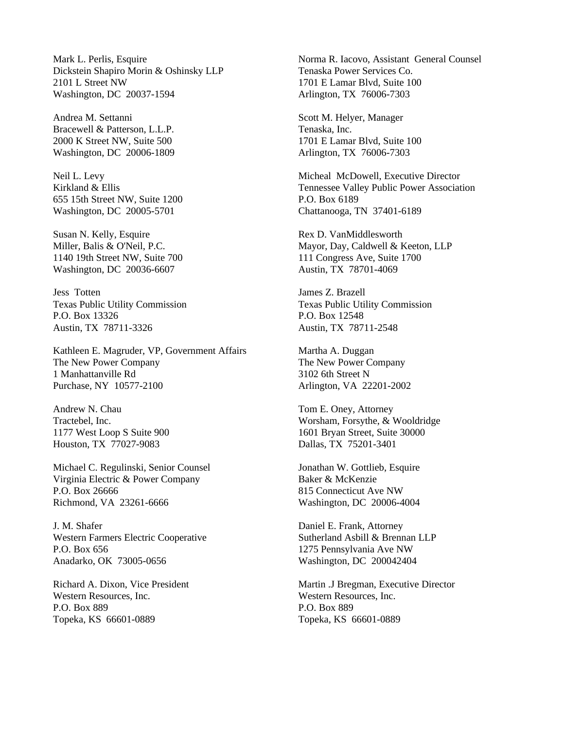Mark L. Perlis, Esquire Dickstein Shapiro Morin & Oshinsky LLP 2101 L Street NW Washington, DC 20037-1594

Andrea M. Settanni Bracewell & Patterson, L.L.P. 2000 K Street NW, Suite 500 Washington, DC 20006-1809

Neil L. Levy Kirkland & Ellis 655 15th Street NW, Suite 1200 Washington, DC 20005-5701

Susan N. Kelly, Esquire Miller, Balis & O'Neil, P.C. 1140 19th Street NW, Suite 700 Washington, DC 20036-6607

Jess Totten Texas Public Utility Commission P.O. Box 13326 Austin, TX 78711-3326

Kathleen E. Magruder, VP, Government Affairs The New Power Company 1 Manhattanville Rd Purchase, NY 10577-2100

Andrew N. Chau Tractebel, Inc. 1177 West Loop S Suite 900 Houston, TX 77027-9083

Michael C. Regulinski, Senior Counsel Virginia Electric & Power Company P.O. Box 26666 Richmond, VA 23261-6666

J. M. Shafer Western Farmers Electric Cooperative P.O. Box 656 Anadarko, OK 73005-0656

Richard A. Dixon, Vice President Western Resources, Inc. P.O. Box 889 Topeka, KS 66601-0889

Norma R. Iacovo, Assistant General Counsel Tenaska Power Services Co. 1701 E Lamar Blvd, Suite 100 Arlington, TX 76006-7303

Scott M. Helyer, Manager Tenaska, Inc. 1701 E Lamar Blvd, Suite 100 Arlington, TX 76006-7303

Micheal McDowell, Executive Director Tennessee Valley Public Power Association P.O. Box 6189 Chattanooga, TN 37401-6189

Rex D. VanMiddlesworth Mayor, Day, Caldwell & Keeton, LLP 111 Congress Ave, Suite 1700 Austin, TX 78701-4069

James Z. Brazell Texas Public Utility Commission P.O. Box 12548 Austin, TX 78711-2548

Martha A. Duggan The New Power Company 3102 6th Street N Arlington, VA 22201-2002

Tom E. Oney, Attorney Worsham, Forsythe, & Wooldridge 1601 Bryan Street, Suite 30000 Dallas, TX 75201-3401

Jonathan W. Gottlieb, Esquire Baker & McKenzie 815 Connecticut Ave NW Washington, DC 20006-4004

Daniel E. Frank, Attorney Sutherland Asbill & Brennan LLP 1275 Pennsylvania Ave NW Washington, DC 200042404

Martin .J Bregman, Executive Director Western Resources, Inc. P.O. Box 889 Topeka, KS 66601-0889